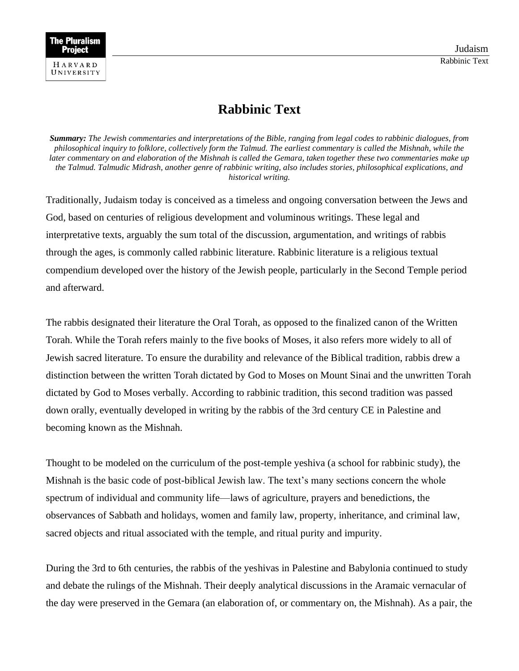## **Rabbinic Text**

*Summary: The Jewish commentaries and interpretations of the Bible, ranging from legal codes to rabbinic dialogues, from philosophical inquiry to folklore, collectively form the Talmud. The earliest commentary is called the Mishnah, while the later commentary on and elaboration of the Mishnah is called the Gemara, taken together these two commentaries make up the Talmud. Talmudic Midrash, another genre of rabbinic writing, also includes stories, philosophical explications, and historical writing.*

Traditionally, Judaism today is conceived as a timeless and ongoing conversation between the Jews and God, based on centuries of religious development and voluminous writings. These legal and interpretative texts, arguably the sum total of the discussion, argumentation, and writings of rabbis through the ages, is commonly called rabbinic literature. Rabbinic literature is a religious textual compendium developed over the history of the Jewish people, particularly in the Second Temple period and afterward.

The rabbis designated their literature the Oral Torah, as opposed to the finalized canon of the Written Torah. While the Torah refers mainly to the five books of Moses, it also refers more widely to all of Jewish sacred literature. To ensure the durability and relevance of the Biblical tradition, rabbis drew a distinction between the written Torah dictated by God to Moses on Mount Sinai and the unwritten Torah dictated by God to Moses verbally. According to rabbinic tradition, this second tradition was passed down orally, eventually developed in writing by the rabbis of the 3rd century CE in Palestine and becoming known as the Mishnah.

Thought to be modeled on the curriculum of the post-temple yeshiva (a school for rabbinic study), the Mishnah is the basic code of post-biblical Jewish law. The text's many sections concern the whole spectrum of individual and community life—laws of agriculture, prayers and benedictions, the observances of Sabbath and holidays, women and family law, property, inheritance, and criminal law, sacred objects and ritual associated with the temple, and ritual purity and impurity.

During the 3rd to 6th centuries, the rabbis of the yeshivas in Palestine and Babylonia continued to study and debate the rulings of the Mishnah. Their deeply analytical discussions in the Aramaic vernacular of the day were preserved in the Gemara (an elaboration of, or commentary on, the Mishnah). As a pair, the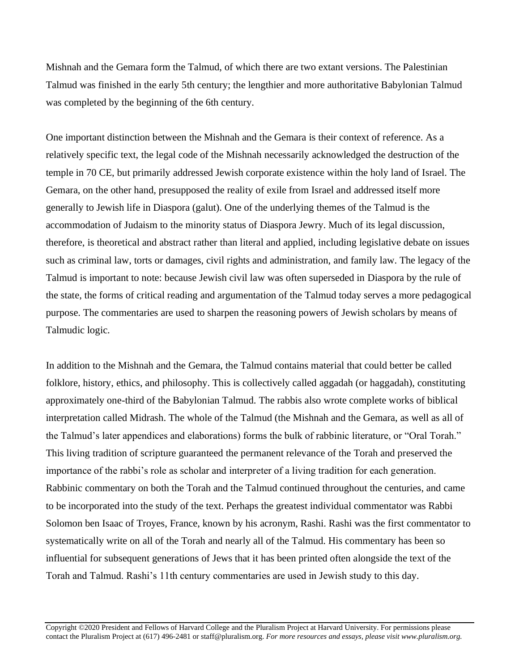Mishnah and the Gemara form the Talmud, of which there are two extant versions. The Palestinian Talmud was finished in the early 5th century; the lengthier and more authoritative Babylonian Talmud was completed by the beginning of the 6th century.

One important distinction between the Mishnah and the Gemara is their context of reference. As a relatively specific text, the legal code of the Mishnah necessarily acknowledged the destruction of the temple in 70 CE, but primarily addressed Jewish corporate existence within the holy land of Israel. The Gemara, on the other hand, presupposed the reality of exile from Israel and addressed itself more generally to Jewish life in Diaspora (galut). One of the underlying themes of the Talmud is the accommodation of Judaism to the minority status of Diaspora Jewry. Much of its legal discussion, therefore, is theoretical and abstract rather than literal and applied, including legislative debate on issues such as criminal law, torts or damages, civil rights and administration, and family law. The legacy of the Talmud is important to note: because Jewish civil law was often superseded in Diaspora by the rule of the state, the forms of critical reading and argumentation of the Talmud today serves a more pedagogical purpose. The commentaries are used to sharpen the reasoning powers of Jewish scholars by means of Talmudic logic.

In addition to the Mishnah and the Gemara, the Talmud contains material that could better be called folklore, history, ethics, and philosophy. This is collectively called aggadah (or haggadah), constituting approximately one-third of the Babylonian Talmud. The rabbis also wrote complete works of biblical interpretation called Midrash. The whole of the Talmud (the Mishnah and the Gemara, as well as all of the Talmud's later appendices and elaborations) forms the bulk of rabbinic literature, or "Oral Torah." This living tradition of scripture guaranteed the permanent relevance of the Torah and preserved the importance of the rabbi's role as scholar and interpreter of a living tradition for each generation. Rabbinic commentary on both the Torah and the Talmud continued throughout the centuries, and came to be incorporated into the study of the text. Perhaps the greatest individual commentator was Rabbi Solomon ben Isaac of Troyes, France, known by his acronym, Rashi. Rashi was the first commentator to systematically write on all of the Torah and nearly all of the Talmud. His commentary has been so influential for subsequent generations of Jews that it has been printed often alongside the text of the Torah and Talmud. Rashi's 11th century commentaries are used in Jewish study to this day.

Copyright ©2020 President and Fellows of Harvard College and the Pluralism Project at Harvard University. For permissions please contact the Pluralism Project at (617) 496-2481 or staff@pluralism.org. *For more resources and essays, please visit www.pluralism.org.*